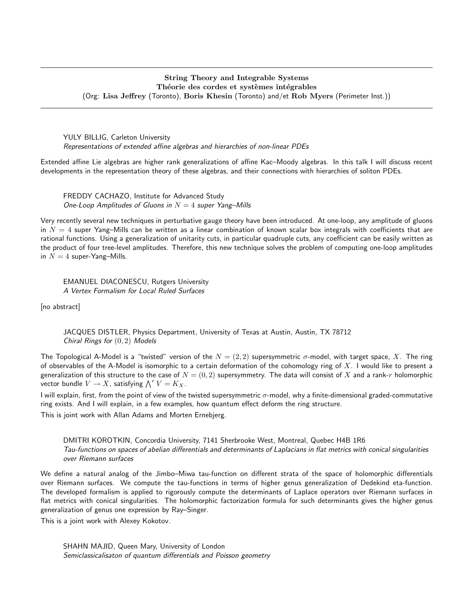## String Theory and Integrable Systems Théorie des cordes et systèmes intégrables (Org: Lisa Jeffrey (Toronto), Boris Khesin (Toronto) and/et Rob Myers (Perimeter Inst.))

YULY BILLIG, Carleton University Representations of extended affine algebras and hierarchies of non-linear PDEs

Extended affine Lie algebras are higher rank generalizations of affine Kac–Moody algebras. In this talk I will discuss recent developments in the representation theory of these algebras, and their connections with hierarchies of soliton PDEs.

FREDDY CACHAZO, Institute for Advanced Study One-Loop Amplitudes of Gluons in  $N = 4$  super Yang-Mills

Very recently several new techniques in perturbative gauge theory have been introduced. At one-loop, any amplitude of gluons in  $N = 4$  super Yang–Mills can be written as a linear combination of known scalar box integrals with coefficients that are rational functions. Using a generalization of unitarity cuts, in particular quadruple cuts, any coefficient can be easily written as the product of four tree-level amplitudes. Therefore, this new technique solves the problem of computing one-loop amplitudes in  $N = 4$  super-Yang-Mills.

EMANUEL DIACONESCU, Rutgers University A Vertex Formalism for Local Ruled Surfaces

[no abstract]

JACQUES DISTLER, Physics Department, University of Texas at Austin, Austin, TX 78712 Chiral Rings for  $(0, 2)$  Models

The Topological A-Model is a "twisted" version of the  $N = (2, 2)$  supersymmetric  $\sigma$ -model, with target space, X. The ring of observables of the A-Model is isomorphic to a certain deformation of the cohomology ring of  $X$ . I would like to present a generalization of this structure to the case of  $N = (0, 2)$  supersymmetry. The data will consist of X and a rank-r holomorphic vector bundle  $V \to X$ , satisfying  $\bigwedge^r V = K_X$ .

I will explain, first, from the point of view of the twisted supersymmetric  $\sigma$ -model, why a finite-dimensional graded-commutative ring exists. And I will explain, in a few examples, how quantum effect deform the ring structure.

This is joint work with Allan Adams and Morten Ernebjerg.

DMITRI KOROTKIN, Concordia University, 7141 Sherbrooke West, Montreal, Quebec H4B 1R6 Tau-functions on spaces of abelian differentials and determinants of Laplacians in flat metrics with conical singularities over Riemann surfaces

We define a natural analog of the Jimbo–Miwa tau-function on different strata of the space of holomorphic differentials over Riemann surfaces. We compute the tau-functions in terms of higher genus generalization of Dedekind eta-function. The developed formalism is applied to rigorously compute the determinants of Laplace operators over Riemann surfaces in flat metrics with conical singularities. The holomorphic factorization formula for such determinants gives the higher genus generalization of genus one expression by Ray–Singer.

This is a joint work with Alexey Kokotov.

SHAHN MAJID, Queen Mary, University of London Semiclassicalisaton of quantum differentials and Poisson geometry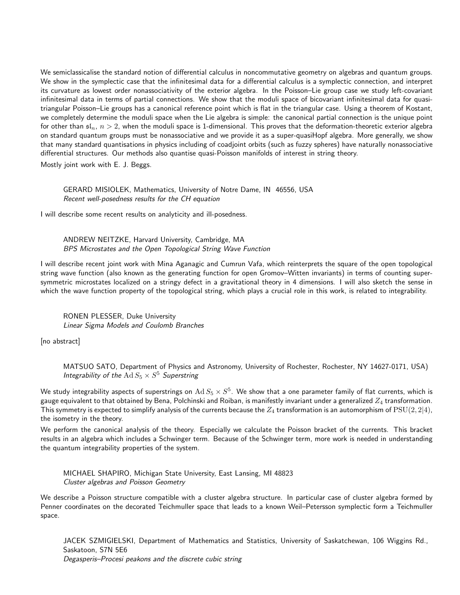We semiclassicalise the standard notion of differential calculus in noncommutative geometry on algebras and quantum groups. We show in the symplectic case that the infinitesimal data for a differential calculus is a symplectic connection, and interpret its curvature as lowest order nonassociativity of the exterior algebra. In the Poisson–Lie group case we study left-covariant infinitesimal data in terms of partial connections. We show that the moduli space of bicovariant infinitesimal data for quasitriangular Poisson–Lie groups has a canonical reference point which is flat in the triangular case. Using a theorem of Kostant, we completely determine the moduli space when the Lie algebra is simple: the canonical partial connection is the unique point for other than  $\mathfrak{sl}_n$ ,  $n > 2$ , when the moduli space is 1-dimensional. This proves that the deformation-theoretic exterior algebra on standard quantum groups must be nonassociative and we provide it as a super-quasiHopf algebra. More generally, we show that many standard quantisations in physics including of coadjoint orbits (such as fuzzy spheres) have naturally nonassociative differential structures. Our methods also quantise quasi-Poisson manifolds of interest in string theory.

Mostly joint work with E. J. Beggs.

GERARD MISIOLEK, Mathematics, University of Notre Dame, IN 46556, USA Recent well-posedness results for the CH equation

I will describe some recent results on analyticity and ill-posedness.

ANDREW NEITZKE, Harvard University, Cambridge, MA BPS Microstates and the Open Topological String Wave Function

I will describe recent joint work with Mina Aganagic and Cumrun Vafa, which reinterprets the square of the open topological string wave function (also known as the generating function for open Gromov–Witten invariants) in terms of counting supersymmetric microstates localized on a stringy defect in a gravitational theory in 4 dimensions. I will also sketch the sense in which the wave function property of the topological string, which plays a crucial role in this work, is related to integrability.

RONEN PLESSER, Duke University Linear Sigma Models and Coulomb Branches

[no abstract]

MATSUO SATO, Department of Physics and Astronomy, University of Rochester, Rochester, NY 14627-0171, USA) Integrability of the  $\operatorname{Ad}S_5\times S^5$  Superstring

We study integrability aspects of superstrings on  $\rm Ad\,S_5\times S^5.$  We show that a one parameter family of flat currents, which is gauge equivalent to that obtained by Bena, Polchinski and Roiban, is manifestly invariant under a generalized  $Z_4$  transformation. This symmetry is expected to simplify analysis of the currents because the  $Z_4$  transformation is an automorphism of  $PSU(2, 2|4)$ , the isometry in the theory.

We perform the canonical analysis of the theory. Especially we calculate the Poisson bracket of the currents. This bracket results in an algebra which includes a Schwinger term. Because of the Schwinger term, more work is needed in understanding the quantum integrability properties of the system.

MICHAEL SHAPIRO, Michigan State University, East Lansing, MI 48823 Cluster algebras and Poisson Geometry

We describe a Poisson structure compatible with a cluster algebra structure. In particular case of cluster algebra formed by Penner coordinates on the decorated Teichmuller space that leads to a known Weil–Petersson symplectic form a Teichmuller space.

JACEK SZMIGIELSKI, Department of Mathematics and Statistics, University of Saskatchewan, 106 Wiggins Rd., Saskatoon, S7N 5E6 Degasperis–Procesi peakons and the discrete cubic string